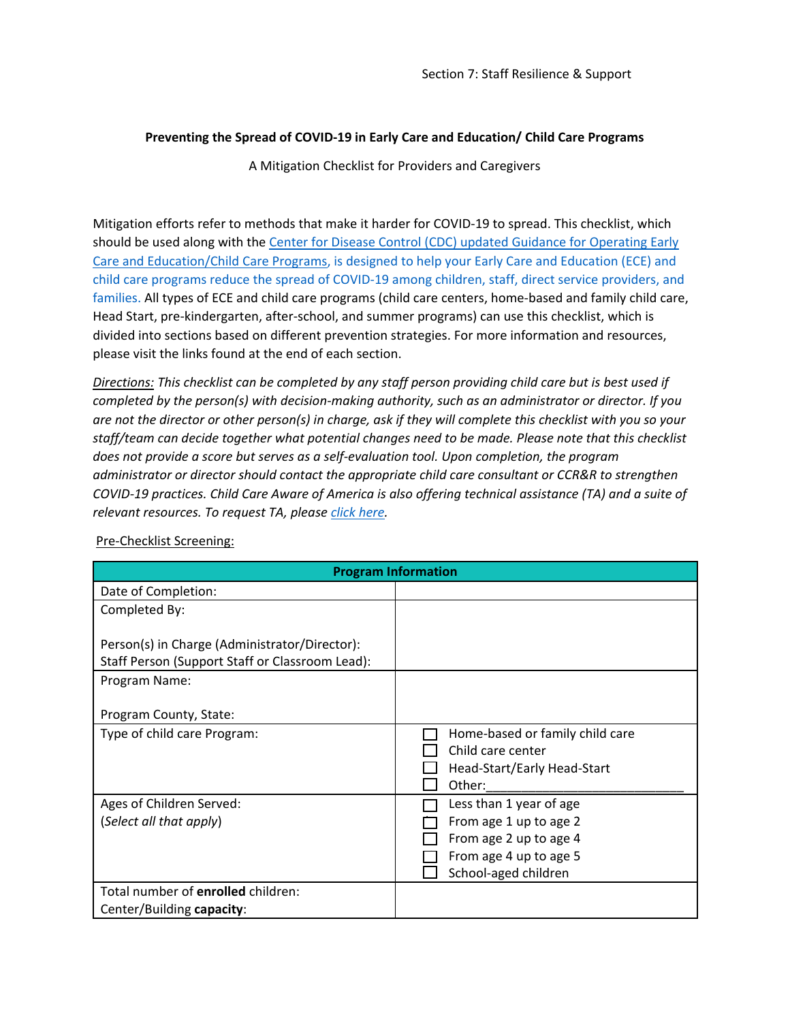## **Preventing the Spread of COVID-19 in Early Care and Education/ Child Care Programs**

A Mitigation Checklist for Providers and Caregivers

Mitigation efforts refer to methods that make it harder for COVID-19 to spread. This checklist, which should be used along with the Center for [Disease Control \(CDC\) updated Guidance for Operating Early](https://www.cdc.gov/coronavirus/2019-ncov/community/schools-childcare/child-care-guidance.html)  [Care and Education/Child Care Programs,](https://www.cdc.gov/coronavirus/2019-ncov/community/schools-childcare/child-care-guidance.html) is designed to help your Early Care and Education (ECE) and child care programs reduce the spread of COVID-19 among children, staff, direct service providers, and families. All types of ECE and child care programs (child care centers, home-based and family child care, Head Start, pre-kindergarten, after-school, and summer programs) can use this checklist, which is divided into sections based on different prevention strategies. For more information and resources, please visit the links found at the end of each section.

*Directions: This checklist can be completed by any staff person providing child care but is best used if completed by the person(s) with decision-making authority, such as an administrator or director. If you are not the director or other person(s) in charge, ask if they will complete this checklist with you so your staff/team can decide together what potential changes need to be made. Please note that this checklist does not provide a score but serves as a self-evaluation tool. Upon completion, the program administrator or director should contact the appropriate child care consultant or CCR&R to strengthen COVID-19 practices. Child Care Aware of America is also offering technical assistance (TA) and a suite of relevant resources. To request TA, please [click here.](https://info.childcareaware.org/request-technical-assistance-from-ccaoa)* 

| <b>Program Information</b>                                                                                        |                                                                                               |
|-------------------------------------------------------------------------------------------------------------------|-----------------------------------------------------------------------------------------------|
| Date of Completion:                                                                                               |                                                                                               |
| Completed By:                                                                                                     |                                                                                               |
| Person(s) in Charge (Administrator/Director):<br>Staff Person (Support Staff or Classroom Lead):<br>Program Name: |                                                                                               |
| Program County, State:                                                                                            |                                                                                               |
| Type of child care Program:                                                                                       | Home-based or family child care<br>Child care center<br>Head-Start/Early Head-Start<br>Other: |
| Ages of Children Served:                                                                                          | Less than 1 year of age                                                                       |
| (Select all that apply)                                                                                           | From age 1 up to age 2                                                                        |
|                                                                                                                   | From age 2 up to age 4                                                                        |
|                                                                                                                   | From age 4 up to age 5<br>School-aged children                                                |
| Total number of enrolled children:                                                                                |                                                                                               |
| Center/Building capacity:                                                                                         |                                                                                               |

Pre-Checklist Screening: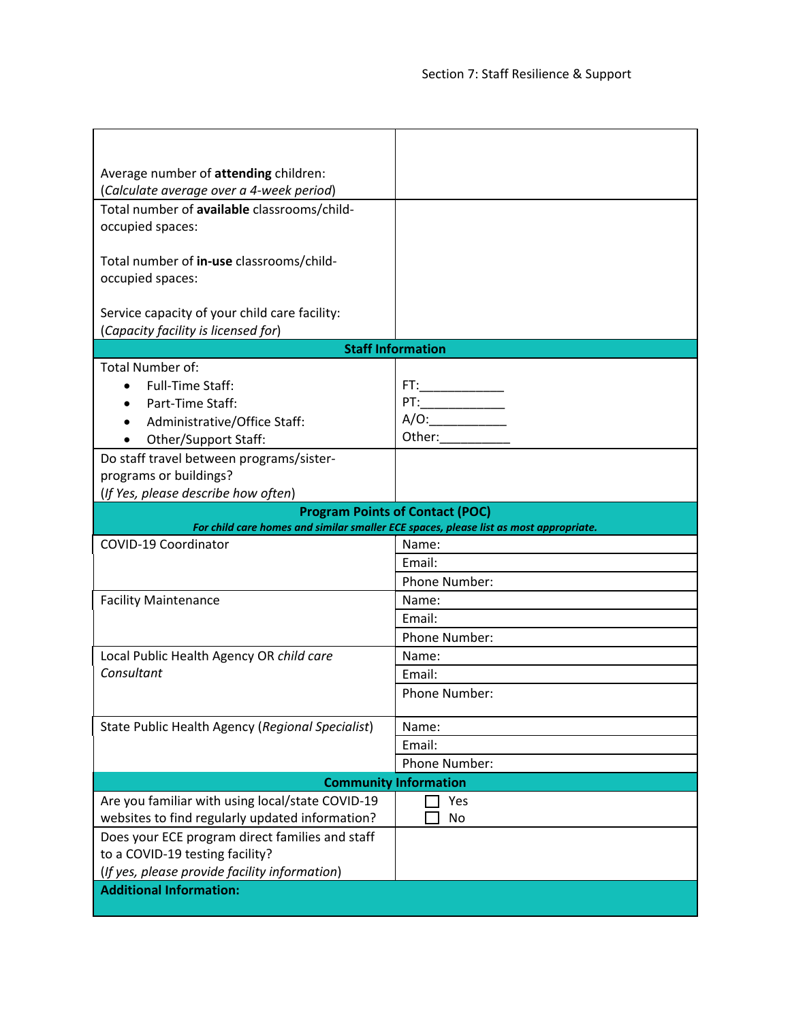| Average number of attending children:                                                                                           |                                                                                                                                                                                                                                |
|---------------------------------------------------------------------------------------------------------------------------------|--------------------------------------------------------------------------------------------------------------------------------------------------------------------------------------------------------------------------------|
| (Calculate average over a 4-week period)                                                                                        |                                                                                                                                                                                                                                |
| Total number of available classrooms/child-                                                                                     |                                                                                                                                                                                                                                |
| occupied spaces:                                                                                                                |                                                                                                                                                                                                                                |
| Total number of in-use classrooms/child-                                                                                        |                                                                                                                                                                                                                                |
| occupied spaces:                                                                                                                |                                                                                                                                                                                                                                |
|                                                                                                                                 |                                                                                                                                                                                                                                |
| Service capacity of your child care facility:                                                                                   |                                                                                                                                                                                                                                |
| (Capacity facility is licensed for)                                                                                             |                                                                                                                                                                                                                                |
| <b>Staff Information</b>                                                                                                        |                                                                                                                                                                                                                                |
| <b>Total Number of:</b>                                                                                                         |                                                                                                                                                                                                                                |
| Full-Time Staff:                                                                                                                | FT:                                                                                                                                                                                                                            |
| Part-Time Staff:                                                                                                                | $PT:\underline{\hspace{2.5cm}}$                                                                                                                                                                                                |
| Administrative/Office Staff:                                                                                                    | A/O:                                                                                                                                                                                                                           |
| Other/Support Staff:                                                                                                            | Other: and the state of the state of the state of the state of the state of the state of the state of the state of the state of the state of the state of the state of the state of the state of the state of the state of the |
| Do staff travel between programs/sister-                                                                                        |                                                                                                                                                                                                                                |
| programs or buildings?                                                                                                          |                                                                                                                                                                                                                                |
| (If Yes, please describe how often)                                                                                             |                                                                                                                                                                                                                                |
| <b>Program Points of Contact (POC)</b><br>For child care homes and similar smaller ECE spaces, please list as most appropriate. |                                                                                                                                                                                                                                |
| COVID-19 Coordinator                                                                                                            | Name:                                                                                                                                                                                                                          |
|                                                                                                                                 | Email:                                                                                                                                                                                                                         |
|                                                                                                                                 | Phone Number:                                                                                                                                                                                                                  |
| <b>Facility Maintenance</b>                                                                                                     | Name:                                                                                                                                                                                                                          |
|                                                                                                                                 | Email:                                                                                                                                                                                                                         |
|                                                                                                                                 | Phone Number:                                                                                                                                                                                                                  |
| Local Public Health Agency OR child care                                                                                        | Name:                                                                                                                                                                                                                          |
| Consultant                                                                                                                      | Email:                                                                                                                                                                                                                         |
|                                                                                                                                 | Phone Number:                                                                                                                                                                                                                  |
|                                                                                                                                 |                                                                                                                                                                                                                                |
| State Public Health Agency (Regional Specialist)                                                                                | Name:                                                                                                                                                                                                                          |
|                                                                                                                                 | Email:                                                                                                                                                                                                                         |
|                                                                                                                                 |                                                                                                                                                                                                                                |
|                                                                                                                                 | Phone Number:                                                                                                                                                                                                                  |
|                                                                                                                                 | <b>Community Information</b>                                                                                                                                                                                                   |
| Are you familiar with using local/state COVID-19                                                                                | Yes                                                                                                                                                                                                                            |
| websites to find regularly updated information?                                                                                 | <b>No</b>                                                                                                                                                                                                                      |
| Does your ECE program direct families and staff                                                                                 |                                                                                                                                                                                                                                |
| to a COVID-19 testing facility?                                                                                                 |                                                                                                                                                                                                                                |
| (If yes, please provide facility information)<br><b>Additional Information:</b>                                                 |                                                                                                                                                                                                                                |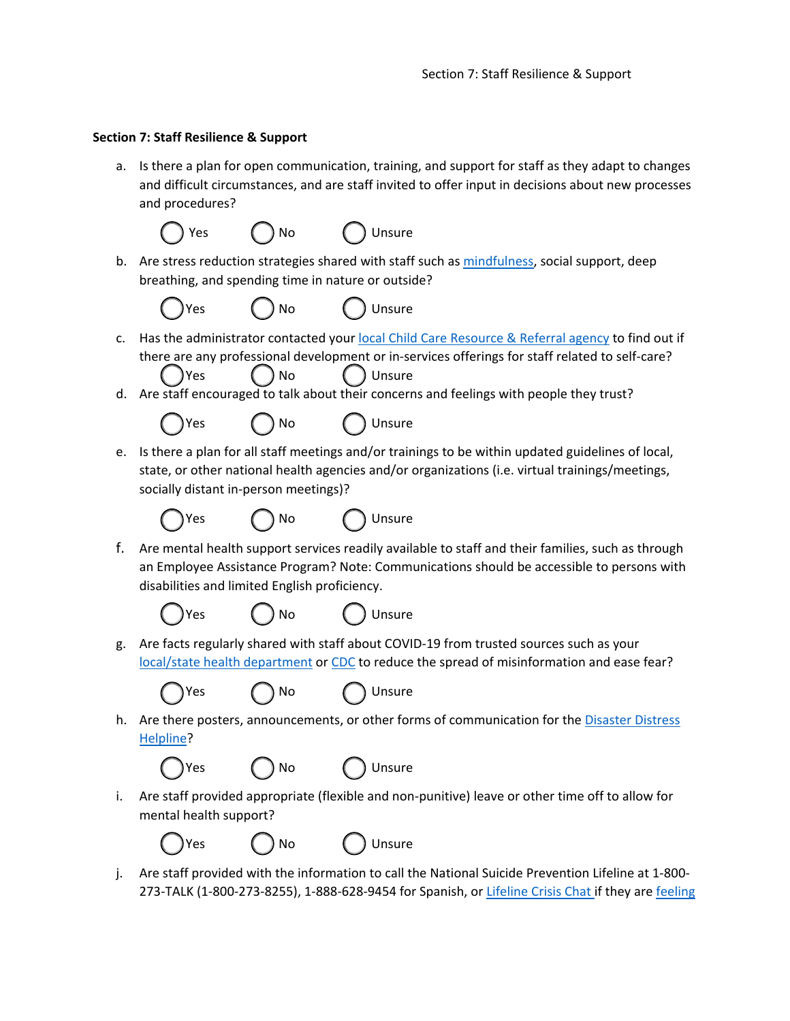## **Section 7: Staff Resilience & Support**

a. Is there a plan for open communication, training, and support for staff as they adapt to changes and difficult circumstances, and are staff invited to offer input in decisions about new processes and procedures?

$$
\bigcirc Yes \qquad \bigcirc No \qquad \bigcirc \text{Unsure}
$$

b. Are stress reduction strategies shared with staff such as [mindfulness,](https://www.mindful.org/) social support, deep breathing, and spending time in nature or outside?



Yes ( ) No ( ) Unsure

- c. Has the administrator contacted your [local Child Care Resource & Referral agency](https://www.childcareaware.org/resources/ccrr-search-form/) to find out if there are any professional development or in-services offerings for staff related to self-care? Yes ( ) No ( ) Unsure
- d. Are staff encouraged to talk about their concerns and feelings with people they trust?



e. Is there a plan for all staff meetings and/or trainings to be within updated guidelines of local, state, or other national health agencies and/or organizations (i.e. virtual trainings/meetings, socially distant in-person meetings)?





f. Are mental health support services readily available to staff and their families, such as through an Employee Assistance Program? Note: Communications should be accessible to persons with disabilities and limited English proficiency.





Yes ( ) No ( ) Unsure

g. Are facts regularly shared with staff about COVID-19 from trusted sources such as your [local/state health department](https://www.naccho.org/membership/lhd-directory) or [CDC](https://www.cdc.gov/coronavirus/2019-ncov/your-health/about-covid-19.html) to reduce the spread of misinformation and ease fear?





h. Are there posters, announcements, or other forms of communication for the [Disaster Distress](https://www.samhsa.gov/find-help/disaster-distress-helpline)  [Helpline?](https://www.samhsa.gov/find-help/disaster-distress-helpline)

$$
\begin{matrix}\n\end{matrix}
$$
 Yes  $\bigcirc$  No  $\bigcirc$  Unsure

i. Are staff provided appropriate (flexible and non-punitive) leave or other time off to allow for mental health support?

| v<br>L<br>∼ |
|-------------|
|-------------|



j. Are staff provided with the information to call the National Suicide Prevention Lifeline at 1-800- 273-TALK (1-800-273-8255), 1-888-628-9454 for Spanish, or [Lifeline Crisis Chat i](http://www.suicidepreventionlifeline.org/GetHelp/LifelineChat.aspx)f they are feeling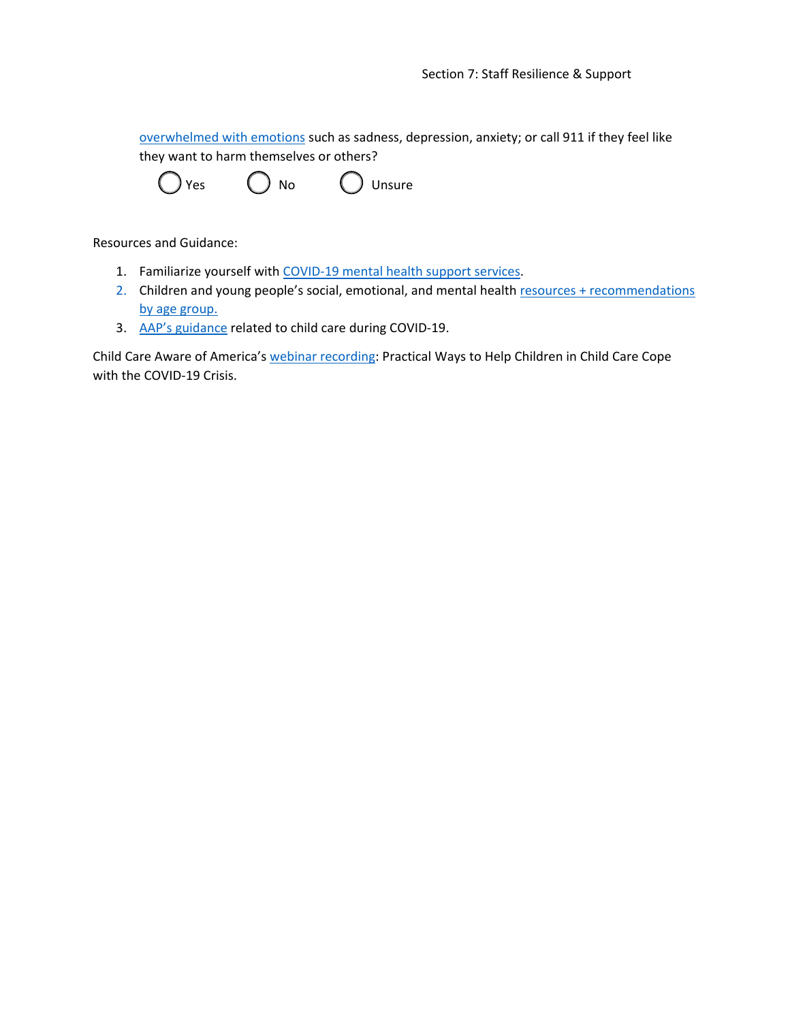[overwhelmed with emotions](https://www.cdc.gov/coronavirus/2019-ncov/daily-life-coping/managing-stress-anxiety.html) such as sadness, depression, anxiety; or call 911 if they feel like they want to harm themselves or others?

Resources and Guidance:

- 1. Familiarize yourself with [COVID-19 mental health support services.](https://www.cdc.gov/mentalhealth/stress-coping/help-children-cope/index.html?CDC_AA_refVal=https%3A%2F%2Fwww.cdc.gov%2Fcoronavirus%2F2019-ncov%2Fdaily-life-coping%2Ffor-parents.html)
- 2. Children and young people's social, emotional, and mental health resources + recommendations [by age group.](https://www.cdc.gov/coronavirus/2019-ncov/daily-life-coping/parental-resource-kit/index.html)
- 3. [AAP's guidance](https://services.aap.org/en/pages/2019-novel-coronavirus-covid-19-infections/clinical-guidance/guidance-related-to-childcare-during-covid-19/) related to child care during COVID-19.

Child Care Aware of America's [webinar recording:](https://info.childcareaware.org/webinar-practical-ways-to-help-children-in-child-care-cope-with-the-covid-19-crisis-a-perspective-from-child-life-specialists) Practical Ways to Help Children in Child Care Cope with the COVID-19 Crisis.